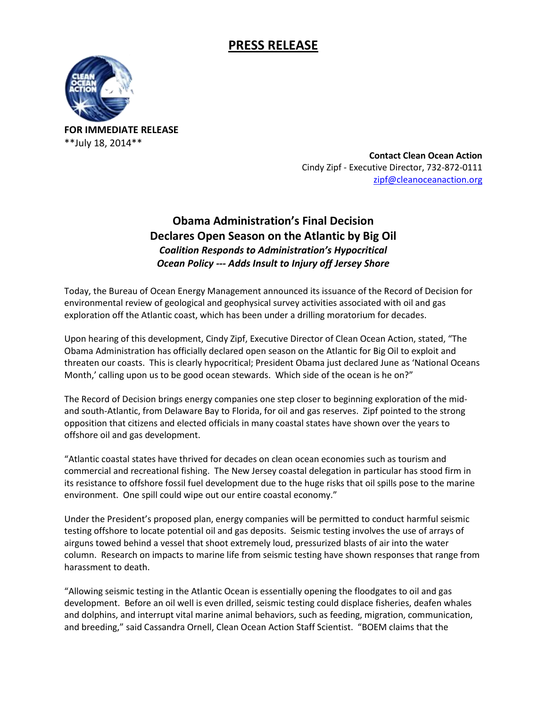## **PRESS RELEASE**



**FOR IMMEDIATE RELEASE** \*\*July 18, 2014\*\*

> **Contact Clean Ocean Action**  Cindy Zipf - Executive Director, 732-872-0111 [zipf@cleanoceanaction.org](mailto:zipf@cleanoceanaction.org)

## **Obama Administration's Final Decision Declares Open Season on the Atlantic by Big Oil** *Coalition Responds to Administration's Hypocritical Ocean Policy --- Adds Insult to Injury off Jersey Shore*

Today, the Bureau of Ocean Energy Management announced its issuance of the Record of Decision for environmental review of geological and geophysical survey activities associated with oil and gas exploration off the Atlantic coast, which has been under a drilling moratorium for decades.

Upon hearing of this development, Cindy Zipf, Executive Director of Clean Ocean Action, stated, "The Obama Administration has officially declared open season on the Atlantic for Big Oil to exploit and threaten our coasts. This is clearly hypocritical; President Obama just declared June as 'National Oceans Month,' calling upon us to be good ocean stewards. Which side of the ocean is he on?"

The Record of Decision brings energy companies one step closer to beginning exploration of the midand south-Atlantic, from Delaware Bay to Florida, for oil and gas reserves. Zipf pointed to the strong opposition that citizens and elected officials in many coastal states have shown over the years to offshore oil and gas development.

"Atlantic coastal states have thrived for decades on clean ocean economies such as tourism and commercial and recreational fishing. The New Jersey coastal delegation in particular has stood firm in its resistance to offshore fossil fuel development due to the huge risks that oil spills pose to the marine environment. One spill could wipe out our entire coastal economy."

Under the President's proposed plan, energy companies will be permitted to conduct harmful seismic testing offshore to locate potential oil and gas deposits. Seismic testing involves the use of arrays of airguns towed behind a vessel that shoot extremely loud, pressurized blasts of air into the water column. Research on impacts to marine life from seismic testing have shown responses that range from harassment to death.

"Allowing seismic testing in the Atlantic Ocean is essentially opening the floodgates to oil and gas development. Before an oil well is even drilled, seismic testing could displace fisheries, deafen whales and dolphins, and interrupt vital marine animal behaviors, such as feeding, migration, communication, and breeding," said Cassandra Ornell, Clean Ocean Action Staff Scientist. "BOEM claims that the